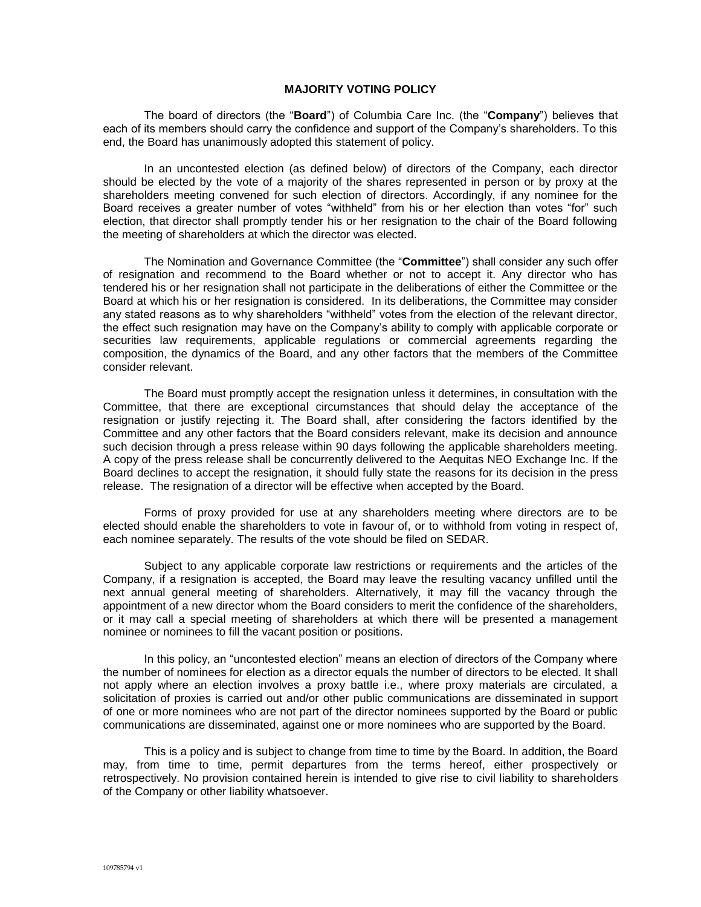## **MAJORITY VOTING POLICY**

The board of directors (the "**Board**") of Columbia Care Inc. (the "**Company**") believes that each of its members should carry the confidence and support of the Company's shareholders. To this end, the Board has unanimously adopted this statement of policy.

In an uncontested election (as defined below) of directors of the Company, each director should be elected by the vote of a majority of the shares represented in person or by proxy at the shareholders meeting convened for such election of directors. Accordingly, if any nominee for the Board receives a greater number of votes "withheld" from his or her election than votes "for" such election, that director shall promptly tender his or her resignation to the chair of the Board following the meeting of shareholders at which the director was elected.

The Nomination and Governance Committee (the "**Committee**") shall consider any such offer of resignation and recommend to the Board whether or not to accept it. Any director who has tendered his or her resignation shall not participate in the deliberations of either the Committee or the Board at which his or her resignation is considered. In its deliberations, the Committee may consider any stated reasons as to why shareholders "withheld" votes from the election of the relevant director, the effect such resignation may have on the Company's ability to comply with applicable corporate or securities law requirements, applicable regulations or commercial agreements regarding the composition, the dynamics of the Board, and any other factors that the members of the Committee consider relevant.

The Board must promptly accept the resignation unless it determines, in consultation with the Committee, that there are exceptional circumstances that should delay the acceptance of the resignation or justify rejecting it. The Board shall, after considering the factors identified by the Committee and any other factors that the Board considers relevant, make its decision and announce such decision through a press release within 90 days following the applicable shareholders meeting. A copy of the press release shall be concurrently delivered to the Aequitas NEO Exchange Inc. If the Board declines to accept the resignation, it should fully state the reasons for its decision in the press release.The resignation of a director will be effective when accepted by the Board.

Forms of proxy provided for use at any shareholders meeting where directors are to be elected should enable the shareholders to vote in favour of, or to withhold from voting in respect of, each nominee separately. The results of the vote should be filed on SEDAR.

Subject to any applicable corporate law restrictions or requirements and the articles of the Company, if a resignation is accepted, the Board may leave the resulting vacancy unfilled until the next annual general meeting of shareholders. Alternatively, it may fill the vacancy through the appointment of a new director whom the Board considers to merit the confidence of the shareholders, or it may call a special meeting of shareholders at which there will be presented a management nominee or nominees to fill the vacant position or positions.

In this policy, an "uncontested election" means an election of directors of the Company where the number of nominees for election as a director equals the number of directors to be elected. It shall not apply where an election involves a proxy battle i.e., where proxy materials are circulated, a solicitation of proxies is carried out and/or other public communications are disseminated in support of one or more nominees who are not part of the director nominees supported by the Board or public communications are disseminated, against one or more nominees who are supported by the Board.

This is a policy and is subject to change from time to time by the Board. In addition, the Board may, from time to time, permit departures from the terms hereof, either prospectively or retrospectively. No provision contained herein is intended to give rise to civil liability to shareholders of the Company or other liability whatsoever.